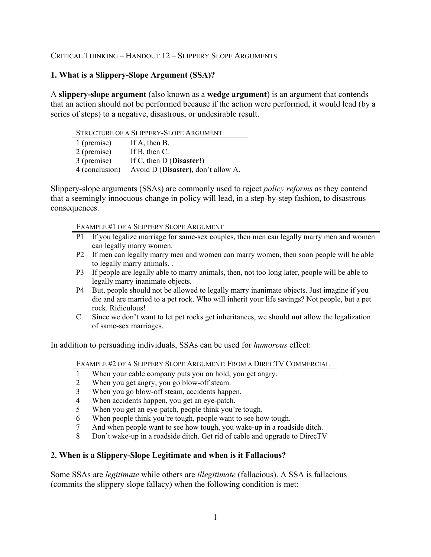# CRITICAL THINKING – HANDOUT 12 – SLIPPERY SLOPE ARGUMENTS

# **1. What is a Slippery-Slope Argument (SSA)?**

A **slippery-slope argument** (also known as a **wedge argument**) is an argument that contends that an action should not be performed because if the action were performed, it would lead (by a series of steps) to a negative, disastrous, or undesirable result.

| STRUCTURE OF A SLIPPERY-SLOPE ARGUMENT |                                    |  |
|----------------------------------------|------------------------------------|--|
| 1 (premise)                            | If A, then B.                      |  |
| 2 (premise)                            | If B, then C.                      |  |
| 3 (premise)                            | If C, then $D$ (Disaster!)         |  |
| 4 (conclusion)                         | Avoid D (Disaster), don't allow A. |  |

Slippery-slope arguments (SSAs) are commonly used to reject *policy reforms* as they contend that a seemingly innocuous change in policy will lead, in a step-by-step fashion, to disastrous consequences.

EXAMPLE #1 OF A SLIPPERY SLOPE ARGUMENT

- P1 If you legalize marriage for same-sex couples, then men can legally marry men and women can legally marry women.
- P2 If men can legally marry men and women can marry women, then soon people will be able to legally marry animals. .
- P3 If people are legally able to marry animals, then, not too long later, people will be able to legally marry inanimate objects.
- P4 But, people should not be allowed to legally marry inanimate objects. Just imagine if you die and are married to a pet rock. Who will inherit your life savings? Not people, but a pet rock. Ridiculous!
- C Since we don't want to let pet rocks get inheritances, we should **not** allow the legalization of same-sex marriages.

In addition to persuading individuals, SSAs can be used for *humorous* effect:

EXAMPLE #2 OF A SLIPPERY SLOPE ARGUMENT: FROM A DIRECTV COMMERCIAL

- 1 When your cable company puts you on hold, you get angry.
- 2 When you get angry, you go blow-off steam.
- 3 When you go blow-off steam, accidents happen.
- 4 When accidents happen, you get an eye-patch.
- 5 When you get an eye-patch, people think you're tough.
- 6 When people think you're tough, people want to see how tough.
- 7 And when people want to see how tough, you wake-up in a roadside ditch.
- 8 Don't wake-up in a roadside ditch. Get rid of cable and upgrade to DirecTV

#### **2. When is a Slippery-Slope Legitimate and when is it Fallacious?**

Some SSAs are *legitimate* while others are *illegitimate* (fallacious). A SSA is fallacious (commits the slippery slope fallacy) when the following condition is met: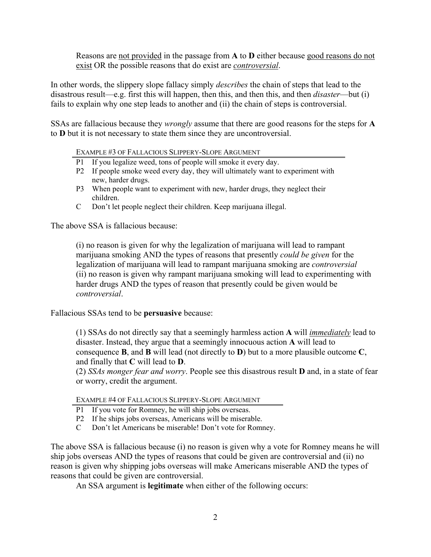Reasons are not provided in the passage from **A** to **D** either because good reasons do not exist OR the possible reasons that do exist are *controversial*.

In other words, the slippery slope fallacy simply *describes* the chain of steps that lead to the disastrous result—e.g. first this will happen, then this, and then this, and then *disaster*—but (i) fails to explain why one step leads to another and (ii) the chain of steps is controversial.

SSAs are fallacious because they *wrongly* assume that there are good reasons for the steps for **A**  to **D** but it is not necessary to state them since they are uncontroversial.

EXAMPLE #3 OF FALLACIOUS SLIPPERY-SLOPE ARGUMENT

- P1 If you legalize weed, tons of people will smoke it every day.
- P2 If people smoke weed every day, they will ultimately want to experiment with new, harder drugs.
- P3 When people want to experiment with new, harder drugs, they neglect their children.
- C Don't let people neglect their children. Keep marijuana illegal.

The above SSA is fallacious because:

(i) no reason is given for why the legalization of marijuana will lead to rampant marijuana smoking AND the types of reasons that presently *could be given* for the legalization of marijuana will lead to rampant marijuana smoking are *controversial* (ii) no reason is given why rampant marijuana smoking will lead to experimenting with harder drugs AND the types of reason that presently could be given would be *controversial*.

Fallacious SSAs tend to be **persuasive** because:

(1) SSAs do not directly say that a seemingly harmless action **A** will *immediately* lead to disaster. Instead, they argue that a seemingly innocuous action **A** will lead to consequence **B**, and **B** will lead (not directly to **D**) but to a more plausible outcome **C**, and finally that **C** will lead to **D**.

(2) *SSAs monger fear and worry*. People see this disastrous result **D** and, in a state of fear or worry, credit the argument.

EXAMPLE #4 OF FALLACIOUS SLIPPERY-SLOPE ARGUMENT

- P1 If you vote for Romney, he will ship jobs overseas.
- P2 If he ships jobs overseas, Americans will be miserable.
- C Don't let Americans be miserable! Don't vote for Romney.

The above SSA is fallacious because (i) no reason is given why a vote for Romney means he will ship jobs overseas AND the types of reasons that could be given are controversial and (ii) no reason is given why shipping jobs overseas will make Americans miserable AND the types of reasons that could be given are controversial.

An SSA argument is **legitimate** when either of the following occurs: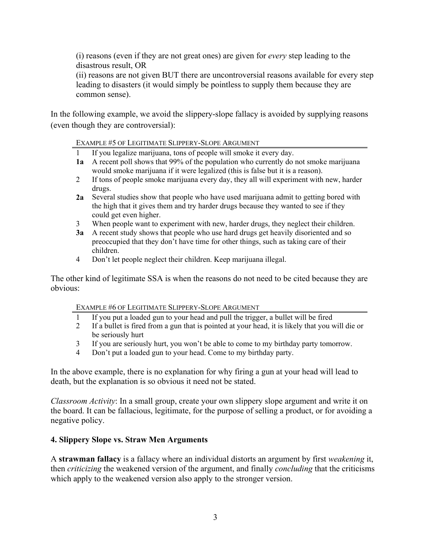(i) reasons (even if they are not great ones) are given for *every* step leading to the disastrous result, OR

(ii) reasons are not given BUT there are uncontroversial reasons available for every step leading to disasters (it would simply be pointless to supply them because they are common sense).

In the following example, we avoid the slippery-slope fallacy is avoided by supplying reasons (even though they are controversial):

EXAMPLE #5 OF LEGITIMATE SLIPPERY-SLOPE ARGUMENT

- 1 If you legalize marijuana, tons of people will smoke it every day.
- **1a** A recent poll shows that 99% of the population who currently do not smoke marijuana would smoke marijuana if it were legalized (this is false but it is a reason).
- 2 If tons of people smoke marijuana every day, they all will experiment with new, harder drugs.
- **2a** Several studies show that people who have used marijuana admit to getting bored with the high that it gives them and try harder drugs because they wanted to see if they could get even higher.
- 3 When people want to experiment with new, harder drugs, they neglect their children.
- **3a** A recent study shows that people who use hard drugs get heavily disoriented and so preoccupied that they don't have time for other things, such as taking care of their children.
- 4 Don't let people neglect their children. Keep marijuana illegal.

The other kind of legitimate SSA is when the reasons do not need to be cited because they are obvious:

EXAMPLE #6 OF LEGITIMATE SLIPPERY-SLOPE ARGUMENT

- If you put a loaded gun to your head and pull the trigger, a bullet will be fired
- 2 If a bullet is fired from a gun that is pointed at your head, it is likely that you will die or be seriously hurt
- 3 If you are seriously hurt, you won't be able to come to my birthday party tomorrow.
- 4 Don't put a loaded gun to your head. Come to my birthday party.

In the above example, there is no explanation for why firing a gun at your head will lead to death, but the explanation is so obvious it need not be stated.

*Classroom Activity*: In a small group, create your own slippery slope argument and write it on the board. It can be fallacious, legitimate, for the purpose of selling a product, or for avoiding a negative policy.

## **4. Slippery Slope vs. Straw Men Arguments**

A **strawman fallacy** is a fallacy where an individual distorts an argument by first *weakening* it, then *criticizing* the weakened version of the argument, and finally *concluding* that the criticisms which apply to the weakened version also apply to the stronger version.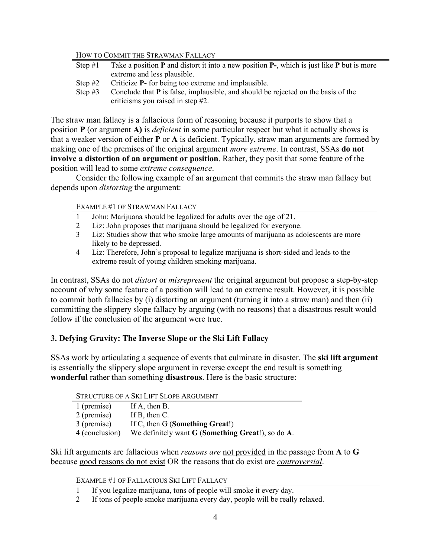#### HOW TO COMMIT THE STRAWMAN FALLACY

| Step $#1$ | Take a position $P$ and distort it into a new position $P-$ , which is just like $P$ but is more |
|-----------|--------------------------------------------------------------------------------------------------|
|           | extreme and less plausible.                                                                      |
|           | Step $#2$ Criticize <b>P</b> - for being too extreme and implausible.                            |

Step #3 Conclude that **P** is false, implausible, and should be rejected on the basis of the criticisms you raised in step #2.

The straw man fallacy is a fallacious form of reasoning because it purports to show that a position **P** (or argument **A)** is *deficient* in some particular respect but what it actually shows is that a weaker version of either **P** or **A** is deficient. Typically, straw man arguments are formed by making one of the premises of the original argument *more extreme*. In contrast, SSAs **do not involve a distortion of an argument or position**. Rather, they posit that some feature of the position will lead to some *extreme consequence*.

Consider the following example of an argument that commits the straw man fallacy but depends upon *distorting* the argument:

#### EXAMPLE #1 OF STRAWMAN FALLACY

- 1 John: Marijuana should be legalized for adults over the age of 21.
- 2 Liz: John proposes that marijuana should be legalized for everyone.
- 3 Liz: Studies show that who smoke large amounts of marijuana as adolescents are more likely to be depressed.
- 4 Liz: Therefore, John's proposal to legalize marijuana is short-sided and leads to the extreme result of young children smoking marijuana.

In contrast, SSAs do not *distort* or *misrepresent* the original argument but propose a step-by-step account of why some feature of a position will lead to an extreme result. However, it is possible to commit both fallacies by (i) distorting an argument (turning it into a straw man) and then (ii) committing the slippery slope fallacy by arguing (with no reasons) that a disastrous result would follow if the conclusion of the argument were true.

## **3. Defying Gravity: The Inverse Slope or the Ski Lift Fallacy**

SSAs work by articulating a sequence of events that culminate in disaster. The **ski lift argument** is essentially the slippery slope argument in reverse except the end result is something **wonderful** rather than something **disastrous**. Here is the basic structure:

STRUCTURE OF A SKI LIFT SLOPE ARGUMENT

| 1 (premise)    | If $A$ , then $B$ .                                    |
|----------------|--------------------------------------------------------|
| 2 (premise)    | If $B$ , then $C$ .                                    |
| 3 (premise)    | If C, then G (Something Great!)                        |
| 4 (conclusion) | We definitely want $G$ (Something Great!), so do $A$ . |

Ski lift arguments are fallacious when *reasons are* not provided in the passage from **A** to **G** because good reasons do not exist OR the reasons that do exist are *controversial*.

EXAMPLE #1 OF FALLACIOUS SKI LIFT FALLACY

2 If tons of people smoke marijuana every day, people will be really relaxed.

<sup>1</sup> If you legalize marijuana, tons of people will smoke it every day.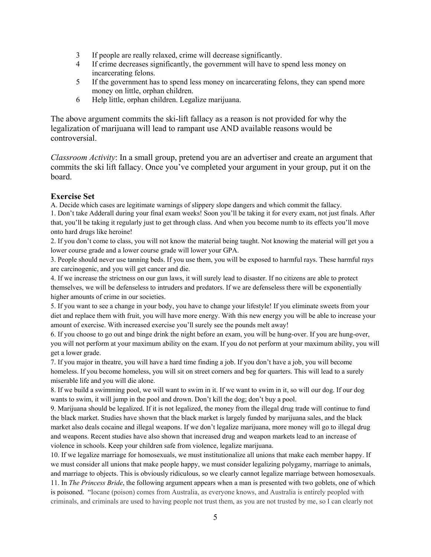- 3 If people are really relaxed, crime will decrease significantly.
- 4 If crime decreases significantly, the government will have to spend less money on incarcerating felons.
- 5 If the government has to spend less money on incarcerating felons, they can spend more money on little, orphan children.
- 6 Help little, orphan children. Legalize marijuana.

The above argument commits the ski-lift fallacy as a reason is not provided for why the legalization of marijuana will lead to rampant use AND available reasons would be controversial.

*Classroom Activity*: In a small group, pretend you are an advertiser and create an argument that commits the ski lift fallacy. Once you've completed your argument in your group, put it on the board.

### **Exercise Set**

A. Decide which cases are legitimate warnings of slippery slope dangers and which commit the fallacy.

1. Don't take Adderall during your final exam weeks! Soon you'll be taking it for every exam, not just finals. After that, you'll be taking it regularly just to get through class. And when you become numb to its effects you'll move onto hard drugs like heroine!

2. If you don't come to class, you will not know the material being taught. Not knowing the material will get you a lower course grade and a lower course grade will lower your GPA.

3. People should never use tanning beds. If you use them, you will be exposed to harmful rays. These harmful rays are carcinogenic, and you will get cancer and die.

4. If we increase the strictness on our gun laws, it will surely lead to disaster. If no citizens are able to protect themselves, we will be defenseless to intruders and predators. If we are defenseless there will be exponentially higher amounts of crime in our societies.

5. If you want to see a change in your body, you have to change your lifestyle! If you eliminate sweets from your diet and replace them with fruit, you will have more energy. With this new energy you will be able to increase your amount of exercise. With increased exercise you'll surely see the pounds melt away!

6. If you choose to go out and binge drink the night before an exam, you will be hung-over. If you are hung-over, you will not perform at your maximum ability on the exam. If you do not perform at your maximum ability, you will get a lower grade.

7. If you major in theatre, you will have a hard time finding a job. If you don't have a job, you will become homeless. If you become homeless, you will sit on street corners and beg for quarters. This will lead to a surely miserable life and you will die alone.

8. If we build a swimming pool, we will want to swim in it. If we want to swim in it, so will our dog. If our dog wants to swim, it will jump in the pool and drown. Don't kill the dog; don't buy a pool.

9. Marijuana should be legalized. If it is not legalized, the money from the illegal drug trade will continue to fund the black market. Studies have shown that the black market is largely funded by marijuana sales, and the black market also deals cocaine and illegal weapons. If we don't legalize marijuana, more money will go to illegal drug and weapons. Recent studies have also shown that increased drug and weapon markets lead to an increase of violence in schools. Keep your children safe from violence, legalize marijuana.

10. If we legalize marriage for homosexuals, we must institutionalize all unions that make each member happy. If we must consider all unions that make people happy, we must consider legalizing polygamy, marriage to animals, and marriage to objects. This is obviously ridiculous, so we clearly cannot legalize marriage between homosexuals. 11. In *The Princess Bride*, the following argument appears when a man is presented with two goblets, one of which is poisoned. "Iocane (poison) comes from Australia, as everyone knows, and Australia is entirely peopled with criminals, and criminals are used to having people not trust them, as you are not trusted by me, so I can clearly not